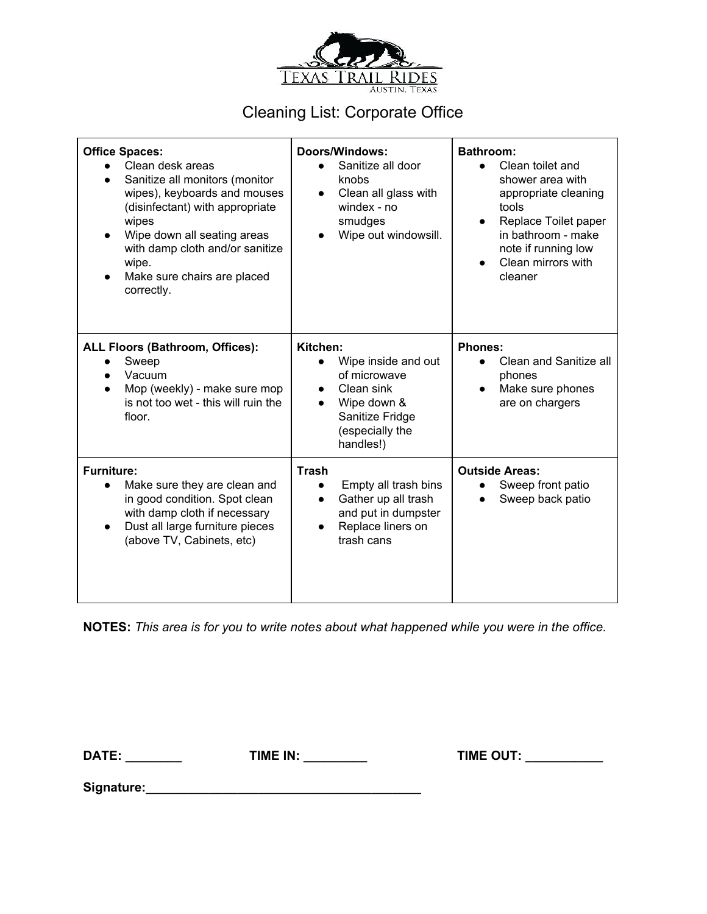

## Cleaning List: Corporate Office

| <b>Office Spaces:</b><br>Clean desk areas<br>Sanitize all monitors (monitor<br>$\bullet$<br>wipes), keyboards and mouses<br>(disinfectant) with appropriate<br>wipes<br>Wipe down all seating areas<br>with damp cloth and/or sanitize<br>wipe.<br>Make sure chairs are placed<br>correctly. | <b>Doors/Windows:</b><br>Sanitize all door<br>knobs<br>Clean all glass with<br>$\bullet$<br>windex - no<br>smudges<br>Wipe out windowsill.      | <b>Bathroom:</b><br>Clean toilet and<br>shower area with<br>appropriate cleaning<br>tools<br>Replace Toilet paper<br>$\bullet$<br>in bathroom - make<br>note if running low<br>Clean mirrors with<br>cleaner |
|----------------------------------------------------------------------------------------------------------------------------------------------------------------------------------------------------------------------------------------------------------------------------------------------|-------------------------------------------------------------------------------------------------------------------------------------------------|--------------------------------------------------------------------------------------------------------------------------------------------------------------------------------------------------------------|
| <b>ALL Floors (Bathroom, Offices):</b><br>Sweep<br>Vacuum<br>Mop (weekly) - make sure mop<br>is not too wet - this will ruin the<br>floor.                                                                                                                                                   | Kitchen:<br>Wipe inside and out<br>of microwave<br>Clean sink<br>$\bullet$<br>Wipe down &<br>Sanitize Fridge<br>(especially the<br>handles!)    | <b>Phones:</b><br>Clean and Sanitize all<br>phones<br>Make sure phones<br>$\bullet$<br>are on chargers                                                                                                       |
| <b>Furniture:</b><br>Make sure they are clean and<br>in good condition. Spot clean<br>with damp cloth if necessary<br>Dust all large furniture pieces<br>(above TV, Cabinets, etc)                                                                                                           | <b>Trash</b><br>Empty all trash bins<br>Gather up all trash<br>$\bullet$<br>and put in dumpster<br>Replace liners on<br>$\bullet$<br>trash cans | <b>Outside Areas:</b><br>Sweep front patio<br>Sweep back patio                                                                                                                                               |

**NOTES:** *This area is for you to write notes about what happened while you were in the office.*

**DATE: \_\_\_\_\_\_\_\_ TIME IN: \_\_\_\_\_\_\_\_\_ TIME OUT: \_\_\_\_\_\_\_\_\_\_\_**

**Signature:\_\_\_\_\_\_\_\_\_\_\_\_\_\_\_\_\_\_\_\_\_\_\_\_\_\_\_\_\_\_\_\_\_\_\_\_\_\_\_**